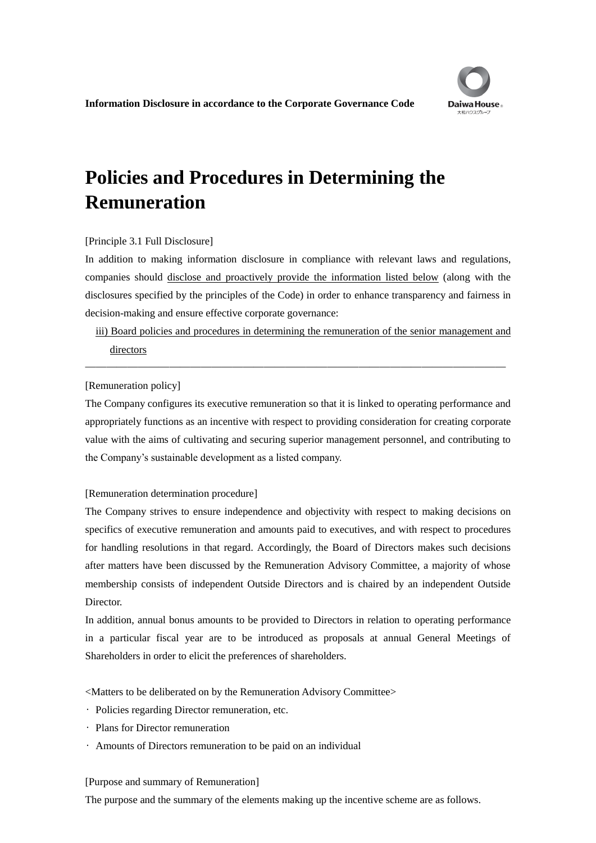# **Policies and Procedures in Determining the Remuneration**

# [Principle 3.1 Full Disclosure]

In addition to making information disclosure in compliance with relevant laws and regulations, companies should disclose and proactively provide the information listed below (along with the disclosures specified by the principles of the Code) in order to enhance transparency and fairness in decision-making and ensure effective corporate governance:

iii) Board policies and procedures in determining the remuneration of the senior management and directors

――――――――――――――――――――――――――――――――――――――――

# [Remuneration policy]

The Company configures its executive remuneration so that it is linked to operating performance and appropriately functions as an incentive with respect to providing consideration for creating corporate value with the aims of cultivating and securing superior management personnel, and contributing to the Company's sustainable development as a listed company.

# [Remuneration determination procedure]

The Company strives to ensure independence and objectivity with respect to making decisions on specifics of executive remuneration and amounts paid to executives, and with respect to procedures for handling resolutions in that regard. Accordingly, the Board of Directors makes such decisions after matters have been discussed by the Remuneration Advisory Committee, a majority of whose membership consists of independent Outside Directors and is chaired by an independent Outside Director.

In addition, annual bonus amounts to be provided to Directors in relation to operating performance in a particular fiscal year are to be introduced as proposals at annual General Meetings of Shareholders in order to elicit the preferences of shareholders.

<Matters to be deliberated on by the Remuneration Advisory Committee>

- Policies regarding Director remuneration, etc.
- Plans for Director remuneration
- Amounts of Directors remuneration to be paid on an individual

# [Purpose and summary of Remuneration]

The purpose and the summary of the elements making up the incentive scheme are as follows.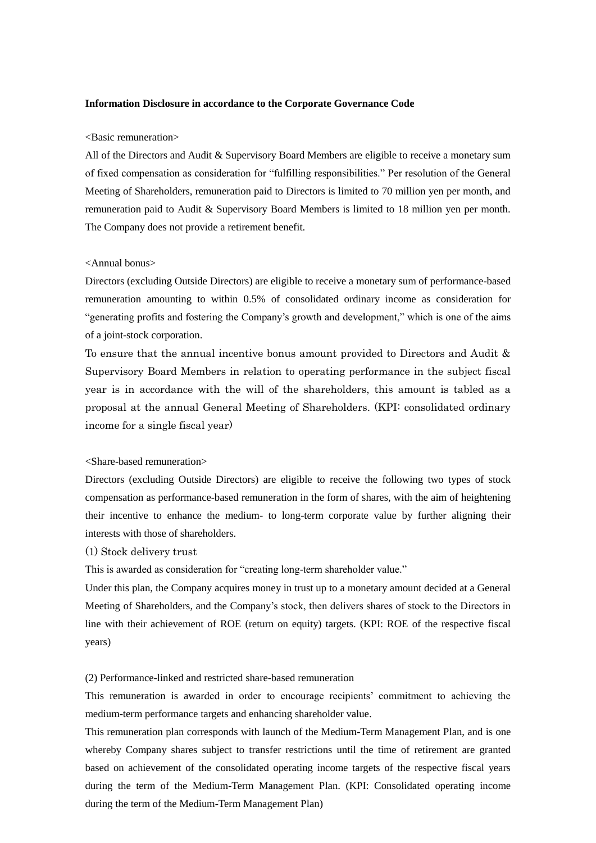#### <Basic remuneration>

All of the Directors and Audit & Supervisory Board Members are eligible to receive a monetary sum of fixed compensation as consideration for "fulfilling responsibilities." Per resolution of the General Meeting of Shareholders, remuneration paid to Directors is limited to 70 million yen per month, and remuneration paid to Audit & Supervisory Board Members is limited to 18 million yen per month. The Company does not provide a retirement benefit.

#### <Annual bonus>

Directors (excluding Outside Directors) are eligible to receive a monetary sum of performance-based remuneration amounting to within 0.5% of consolidated ordinary income as consideration for "generating profits and fostering the Company's growth and development," which is one of the aims of a joint-stock corporation.

To ensure that the annual incentive bonus amount provided to Directors and Audit & Supervisory Board Members in relation to operating performance in the subject fiscal year is in accordance with the will of the shareholders, this amount is tabled as a proposal at the annual General Meeting of Shareholders. (KPI: consolidated ordinary income for a single fiscal year)

# <Share-based remuneration>

Directors (excluding Outside Directors) are eligible to receive the following two types of stock compensation as performance-based remuneration in the form of shares, with the aim of heightening their incentive to enhance the medium- to long-term corporate value by further aligning their interests with those of shareholders.

# (1) Stock delivery trust

This is awarded as consideration for "creating long-term shareholder value."

Under this plan, the Company acquires money in trust up to a monetary amount decided at a General Meeting of Shareholders, and the Company's stock, then delivers shares of stock to the Directors in line with their achievement of ROE (return on equity) targets. (KPI: ROE of the respective fiscal years)

# (2) Performance-linked and restricted share-based remuneration

This remuneration is awarded in order to encourage recipients' commitment to achieving the medium-term performance targets and enhancing shareholder value.

This remuneration plan corresponds with launch of the Medium-Term Management Plan, and is one whereby Company shares subject to transfer restrictions until the time of retirement are granted based on achievement of the consolidated operating income targets of the respective fiscal years during the term of the Medium-Term Management Plan. (KPI: Consolidated operating income during the term of the Medium-Term Management Plan)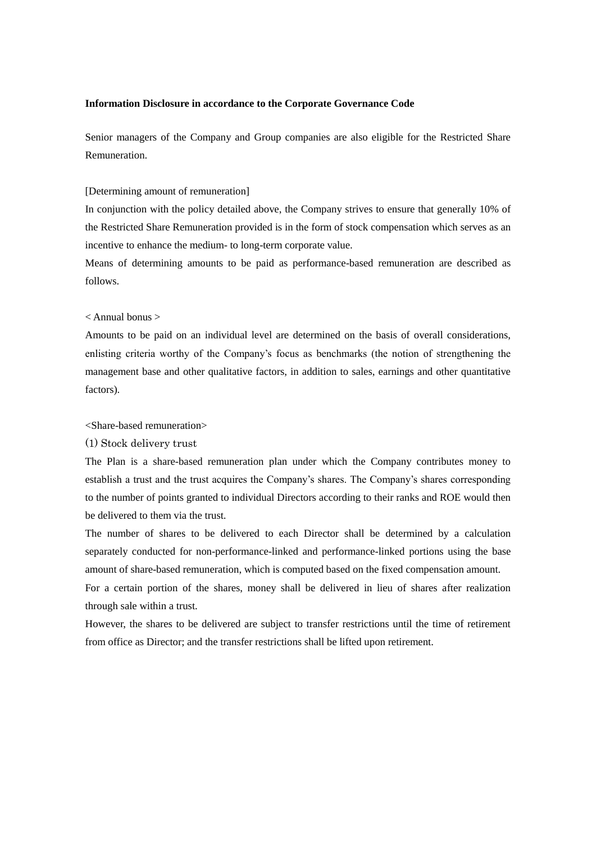Senior managers of the Company and Group companies are also eligible for the Restricted Share Remuneration.

#### [Determining amount of remuneration]

In conjunction with the policy detailed above, the Company strives to ensure that generally 10% of the Restricted Share Remuneration provided is in the form of stock compensation which serves as an incentive to enhance the medium- to long-term corporate value.

Means of determining amounts to be paid as performance-based remuneration are described as follows.

#### < Annual bonus >

Amounts to be paid on an individual level are determined on the basis of overall considerations, enlisting criteria worthy of the Company's focus as benchmarks (the notion of strengthening the management base and other qualitative factors, in addition to sales, earnings and other quantitative factors).

#### <Share-based remuneration>

#### (1) Stock delivery trust

The Plan is a share-based remuneration plan under which the Company contributes money to establish a trust and the trust acquires the Company's shares. The Company's shares corresponding to the number of points granted to individual Directors according to their ranks and ROE would then be delivered to them via the trust.

The number of shares to be delivered to each Director shall be determined by a calculation separately conducted for non-performance-linked and performance-linked portions using the base amount of share-based remuneration, which is computed based on the fixed compensation amount.

For a certain portion of the shares, money shall be delivered in lieu of shares after realization through sale within a trust.

However, the shares to be delivered are subject to transfer restrictions until the time of retirement from office as Director; and the transfer restrictions shall be lifted upon retirement.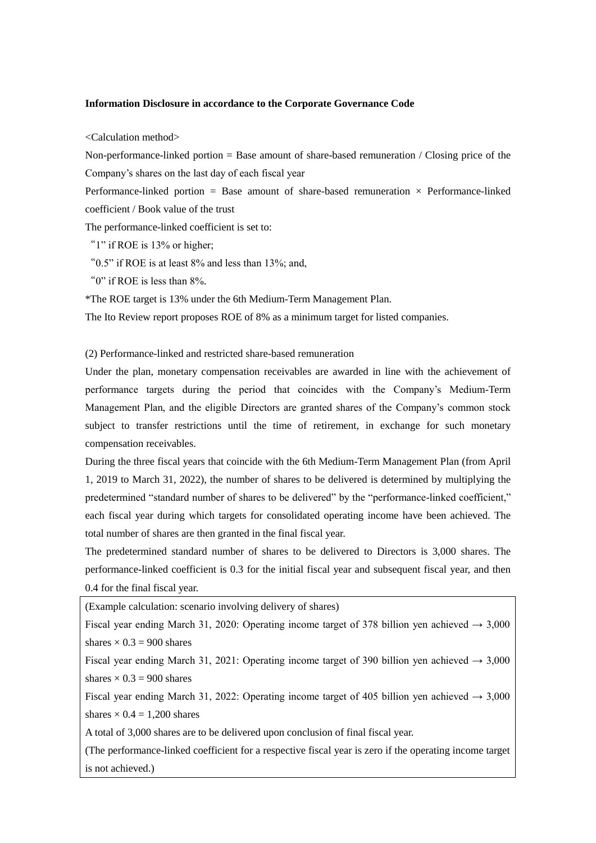<Calculation method>

Non-performance-linked portion  $=$  Base amount of share-based remuneration / Closing price of the Company's shares on the last day of each fiscal year

Performance-linked portion = Base amount of share-based remuneration  $\times$  Performance-linked coefficient / Book value of the trust

The performance-linked coefficient is set to:

"1" if ROE is 13% or higher;

" $0.5$ " if ROE is at least  $8\%$  and less than 13%; and,

"0" if ROE is less than 8%.

\*The ROE target is 13% under the 6th Medium-Term Management Plan.

The Ito Review report proposes ROE of 8% as a minimum target for listed companies.

(2) Performance-linked and restricted share-based remuneration

Under the plan, monetary compensation receivables are awarded in line with the achievement of performance targets during the period that coincides with the Company's Medium-Term Management Plan, and the eligible Directors are granted shares of the Company's common stock subject to transfer restrictions until the time of retirement, in exchange for such monetary compensation receivables.

During the three fiscal years that coincide with the 6th Medium-Term Management Plan (from April 1, 2019 to March 31, 2022), the number of shares to be delivered is determined by multiplying the predetermined "standard number of shares to be delivered" by the "performance-linked coefficient," each fiscal year during which targets for consolidated operating income have been achieved. The total number of shares are then granted in the final fiscal year.

The predetermined standard number of shares to be delivered to Directors is 3,000 shares. The performance-linked coefficient is 0.3 for the initial fiscal year and subsequent fiscal year, and then 0.4 for the final fiscal year.

(Example calculation: scenario involving delivery of shares)

Fiscal year ending March 31, 2020: Operating income target of 378 billion yen achieved  $\rightarrow$  3,000 shares  $\times$  0.3 = 900 shares

Fiscal year ending March 31, 2021: Operating income target of 390 billion yen achieved  $\rightarrow$  3,000 shares  $\times$  0.3 = 900 shares

Fiscal year ending March 31, 2022: Operating income target of 405 billion yen achieved  $\rightarrow$  3,000 shares  $\times$  0.4 = 1,200 shares

A total of 3,000 shares are to be delivered upon conclusion of final fiscal year.

(The performance-linked coefficient for a respective fiscal year is zero if the operating income target is not achieved.)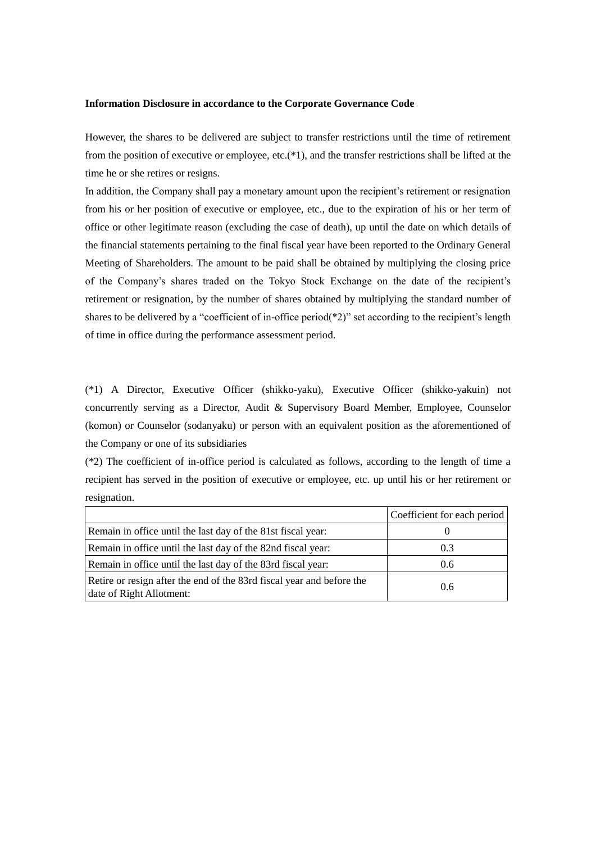However, the shares to be delivered are subject to transfer restrictions until the time of retirement from the position of executive or employee, etc.(\*1), and the transfer restrictions shall be lifted at the time he or she retires or resigns.

In addition, the Company shall pay a monetary amount upon the recipient's retirement or resignation from his or her position of executive or employee, etc., due to the expiration of his or her term of office or other legitimate reason (excluding the case of death), up until the date on which details of the financial statements pertaining to the final fiscal year have been reported to the Ordinary General Meeting of Shareholders. The amount to be paid shall be obtained by multiplying the closing price of the Company's shares traded on the Tokyo Stock Exchange on the date of the recipient's retirement or resignation, by the number of shares obtained by multiplying the standard number of shares to be delivered by a "coefficient of in-office period( $*2$ )" set according to the recipient's length of time in office during the performance assessment period.

(\*1) A Director, Executive Officer (shikko-yaku), Executive Officer (shikko-yakuin) not concurrently serving as a Director, Audit & Supervisory Board Member, Employee, Counselor (komon) or Counselor (sodanyaku) or person with an equivalent position as the aforementioned of the Company or one of its subsidiaries

(\*2) The coefficient of in-office period is calculated as follows, according to the length of time a recipient has served in the position of executive or employee, etc. up until his or her retirement or resignation.

|                                                                                                   | Coefficient for each period |
|---------------------------------------------------------------------------------------------------|-----------------------------|
| Remain in office until the last day of the 81st fiscal year:                                      |                             |
| Remain in office until the last day of the 82nd fiscal year:                                      | 0.3                         |
| Remain in office until the last day of the 83rd fiscal year:                                      | 0.6                         |
| Retire or resign after the end of the 83rd fiscal year and before the<br>date of Right Allotment: | 0.6                         |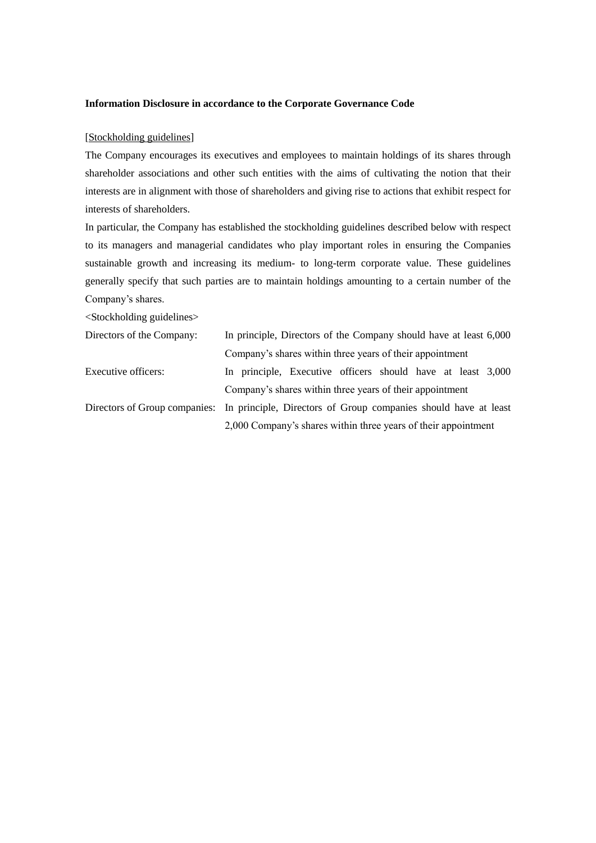# [Stockholding guidelines]

The Company encourages its executives and employees to maintain holdings of its shares through shareholder associations and other such entities with the aims of cultivating the notion that their interests are in alignment with those of shareholders and giving rise to actions that exhibit respect for interests of shareholders.

In particular, the Company has established the stockholding guidelines described below with respect to its managers and managerial candidates who play important roles in ensuring the Companies sustainable growth and increasing its medium- to long-term corporate value. These guidelines generally specify that such parties are to maintain holdings amounting to a certain number of the Company's shares.

<Stockholding guidelines>

| Directors of the Company: | In principle, Directors of the Company should have at least 6,000                             |  |  |  |  |
|---------------------------|-----------------------------------------------------------------------------------------------|--|--|--|--|
|                           | Company's shares within three years of their appointment                                      |  |  |  |  |
| Executive officers:       | In principle, Executive officers should have at least 3,000                                   |  |  |  |  |
|                           | Company's shares within three years of their appointment                                      |  |  |  |  |
|                           | Directors of Group companies: In principle, Directors of Group companies should have at least |  |  |  |  |
|                           | 2,000 Company's shares within three years of their appointment                                |  |  |  |  |